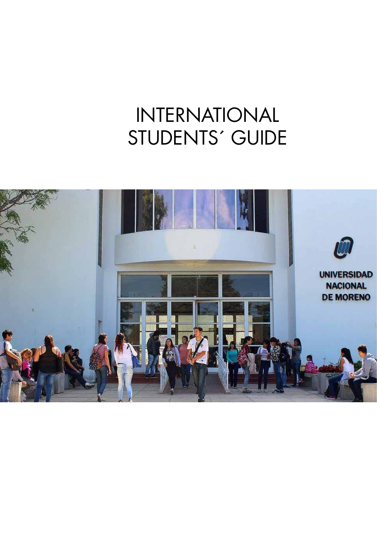# INTERNATIONAL STUDENTS' GUIDE

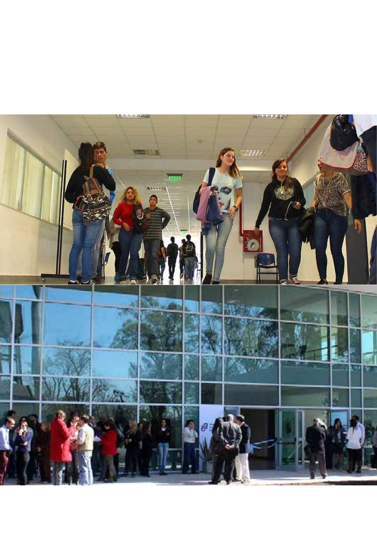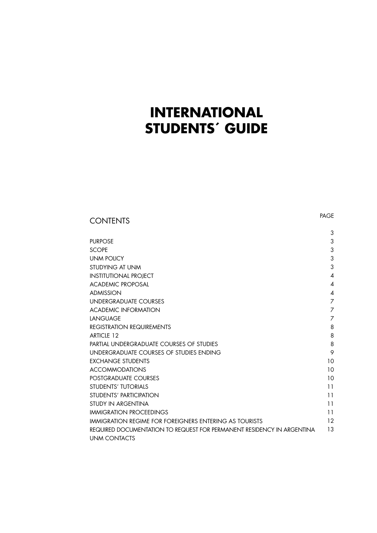## **INTERNATIONAL STUDENTS´ GUIDE**

| <b>CONTENTS</b>                                                        | PAGE                   |
|------------------------------------------------------------------------|------------------------|
|                                                                        | 3                      |
| <b>PURPOSE</b>                                                         | 3                      |
| <b>SCOPE</b>                                                           | 3                      |
| <b>UNM POLICY</b>                                                      | 3                      |
| STUDYING AT UNM                                                        | 3                      |
| <b>INSTITUTIONAL PROJECT</b>                                           | $\overline{4}$         |
| <b>ACADEMIC PROPOSAL</b>                                               | 4                      |
| <b>ADMISSION</b>                                                       | $\boldsymbol{\Lambda}$ |
| UNDERGRADUATE COURSES                                                  | $\overline{7}$         |
| <b>ACADEMIC INFORMATION</b>                                            | 7                      |
| <b>IANGUAGE</b>                                                        | 7                      |
| <b>REGISTRATION REQUIREMENTS</b>                                       | 8                      |
| ARTICIF <sub>12</sub>                                                  | 8                      |
| PARTIAL UNDERGRADUATE COURSES OF STUDIES                               | 8                      |
| UNDERGRADUATE COURSES OF STUDIES ENDING                                | 9                      |
| <b>EXCHANGE STUDENTS</b>                                               | 10                     |
| <b>ACCOMMODATIONS</b>                                                  | 10                     |
| POSTGRADUATE COURSES                                                   | 10                     |
| <b>STUDENTS' TUTORIALS</b>                                             | 11                     |
| STUDENTS' PARTICIPATION                                                | 11                     |
| STUDY IN ARGENTINA                                                     | 11                     |
| <b>IMMIGRATION PROCEEDINGS</b>                                         | 11                     |
| IMMIGRATION REGIME FOR FOREIGNERS ENTERING AS TOURISTS                 | 12                     |
| REQUIRED DOCUMENTATION TO REQUEST FOR PERMANENT RESIDENCY IN ARGENTINA | 13                     |
| UNM CONTACTS                                                           |                        |

PAGE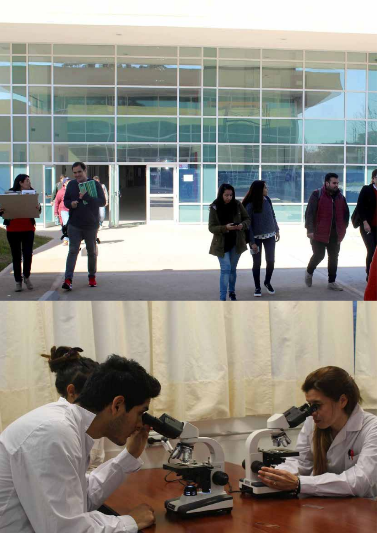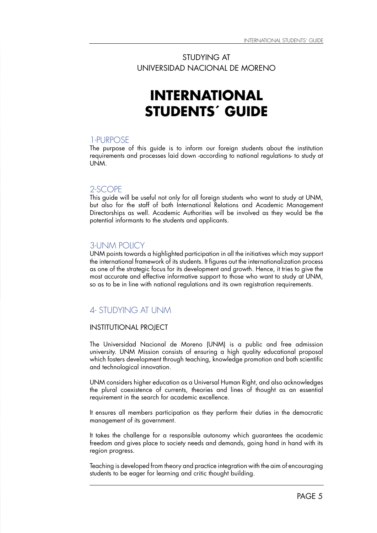### STUDYING AT UNIVERSIDAD NACIONAL DE MORENO

## **INTERNATIONAL STUDENTS´ GUIDE**

### 1-PURPOSE

The purpose of this guide is to inform our foreign students about the institution requirements and processes laid down -according to national regulations- to study at UNM.

### 2-SCOPE

This guide will be useful not only for all foreign students who want to study at UNM, but also for the staff of both International Relations and Academic Management Directorships as well. Academic Authorities will be involved as they would be the potential informants to the students and applicants.

### 3-UNM POLICY

UNM points towards a highlighted participation in all the initiatives which may support the international framework of its students. It figures out the internationalization process as one of the strategic focus for its development and growth. Hence, it tries to give the most accurate and effective informative support to those who want to study at UNM, so as to be in line with national regulations and its own registration requirements.

### 4- STUDYING AT UNM

### INSTITUTIONAL PROJECT

The Universidad Nacional de Moreno (UNM) is a public and free admission university. UNM Mission consists of ensuring a high quality educational proposal which fosters development through teaching, knowledge promotion and both scientific and technological innovation.

UNM considers higher education as a Universal Human Right, and also acknowledges the plural coexistence of currents, theories and lines of thought as an essential requirement in the search for academic excellence.

It ensures all members participation as they perform their duties in the democratic management of its government.

It takes the challenge for a responsible autonomy which guarantees the academic freedom and gives place to society needs and demands, going hand in hand with its region progress.

Teaching is developed from theory and practice integration with the aim of encouraging students to be eager for learning and critic thought building.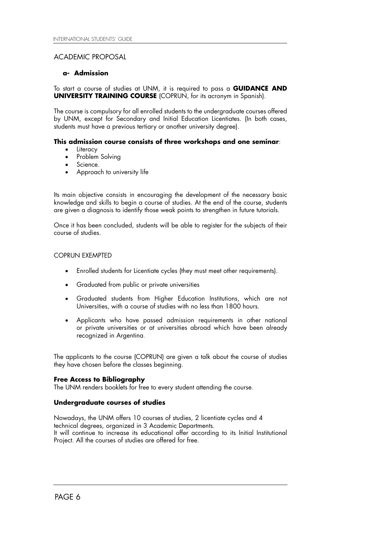#### ACADEMIC PROPOSAL

#### **a- Admission**

To start a course of studies at UNM, it is required to pass a **GUIDANCE AND UNIVERSITY TRAINING COURSE** (COPRUN, for its acronym in Spanish).

The course is compulsory for all enrolled students to the undergraduate courses offered by UNM, except for Secondary and Initial Education Licentiates. (In both cases, students must have a previous tertiary or another university degree).

#### **This admission course consists of three workshops and one seminar**:

- Literacy
- Problem Solving
- Science.
- Approach to university life

Its main objective consists in encouraging the development of the necessary basic knowledge and skills to begin a course of studies. At the end of the course, students are given a diagnosis to identify those weak points to strengthen in future tutorials.

Once it has been concluded, students will be able to register for the subjects of their course of studies.

#### COPRUN EXEMPTED

- Enrolled students for Licentiate cycles (they must meet other requirements).
- Graduated from public or private universities
- Graduated students from Higher Education Institutions, which are not Universities, with a course of studies with no less than 1800 hours.
- Applicants who have passed admission requirements in other national or private universities or at universities abroad which have been already recognized in Argentina.

The applicants to the course (COPRUN) are given a talk about the course of studies they have chosen before the classes beginning.

#### **Free Access to Bibliography**

The UNM renders booklets for free to every student attending the course.

#### **Undergraduate courses of studies**

Nowadays, the UNM offers 10 courses of studies, 2 licentiate cycles and 4 technical degrees, organized in 3 Academic Departments. It will continue to increase its educational offer according to its Initial Institutional Project. All the courses of studies are offered for free.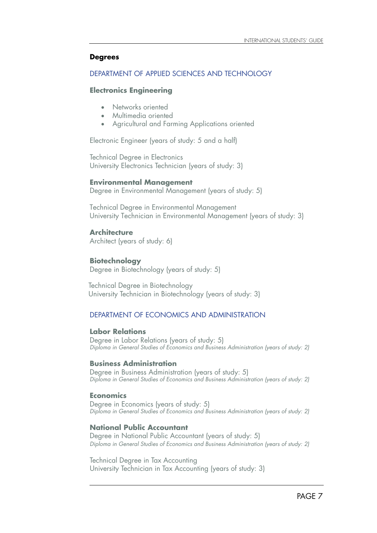#### **Degrees**

### DEPARTMENT OF APPLIED SCIENCES AND TECHNOLOGY

#### **Electronics Engineering**

- Networks oriented
- Multimedia oriented
- Agricultural and Farming Applications oriented

Electronic Engineer (years of study: 5 and a half)

Technical Degree in Electronics University Electronics Technician (years of study: 3)

#### **Environmental Management**

Degree in Environmental Management (years of study: 5)

Technical Degree in Environmental Management University Technician in Environmental Management (years of study: 3)

#### **Architecture**

Architect (years of study: 6)

#### **Biotechnology**

Degree in Biotechnology (years of study: 5)

Technical Degree in Biotechnology University Technician in Biotechnology (years of study: 3)

#### DEPARTMENT OF ECONOMICS AND ADMINISTRATION

#### **Labor Relations**

Degree in Labor Relations (years of study: 5) *Diploma in General Studies of Economics and Business Administration (years of study: 2)*

#### **Business Administration**

Degree in Business Administration (years of study: 5) *Diploma in General Studies of Economics and Business Administration (years of study: 2)*

#### **Economics**

Degree in Economics (years of study: 5) *Diploma in General Studies of Economics and Business Administration (years of study: 2)*

#### **National Public Accountant**

Degree in National Public Accountant (years of study: 5) *Diploma in General Studies of Economics and Business Administration (years of study: 2)*

Technical Degree in Tax Accounting University Technician in Tax Accounting (years of study: 3)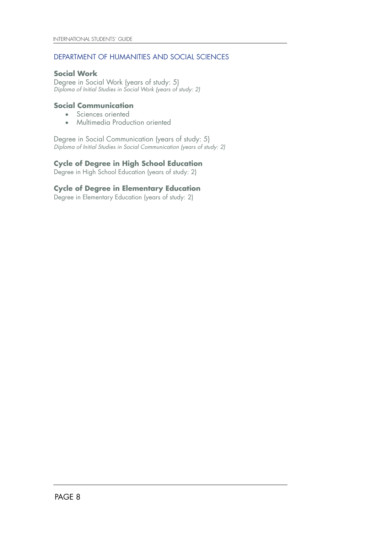### DEPARTMENT OF HUMANITIES AND SOCIAL SCIENCES

### **Social Work**

Degree in Social Work (years of study: 5) *Diploma of Initial Studies in Social Work (years of study: 2)*

### **Social Communication**

- Sciences oriented
- Multimedia Production oriented

Degree in Social Communication (years of study: 5) *Diploma of Initial Studies in Social Communication (years of study: 2)*

### **Cycle of Degree in High School Education**

Degree in High School Education (years of study: 2)

### **Cycle of Degree in Elementary Education**

Degree in Elementary Education (years of study: 2)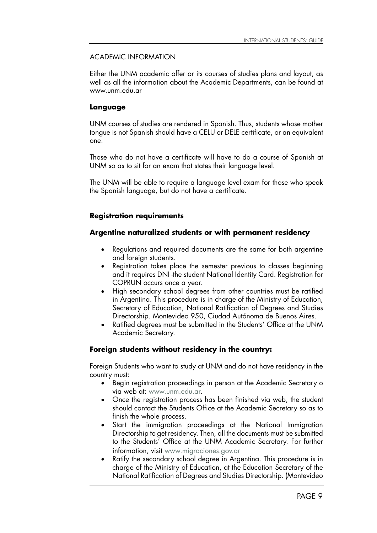#### ACADEMIC INFORMATION

Either the UNM academic offer or its courses of studies plans and layout, as well as all the information about the Academic Departments, can be found at www.unm.edu.ar

### **Language**

UNM courses of studies are rendered in Spanish. Thus, students whose mother tongue is not Spanish should have a CELU or DELE certificate, or an equivalent one.

Those who do not have a certificate will have to do a course of Spanish at UNM so as to sit for an exam that states their language level.

The UNM will be able to require a language level exam for those who speak the Spanish language, but do not have a certificate.

### **Registration requirements**

### **Argentine naturalized students or with permanent residency**

- Regulations and required documents are the same for both argentine and foreign students.
- Registration takes place the semester previous to classes beginning and it requires DNI -the student National Identity Card. Registration for COPRUN occurs once a year.
- High secondary school degrees from other countries must be ratified in Argentina. This procedure is in charge of the Ministry of Education, Secretary of Education, National Ratification of Degrees and Studies Directorship. Montevideo 950, Ciudad Autónoma de Buenos Aires.
- Ratified degrees must be submitted in the Students' Office at the UNM Academic Secretary.

### **Foreign students without residency in the country:**

Foreign Students who want to study at UNM and do not have residency in the country must:

- Begin registration proceedings in person at the Academic Secretary o via web at: www.unm.edu.ar.
- Once the registration process has been finished via web, the student should contact the Students Office at the Academic Secretary so as to finish the whole process.
- Start the immigration proceedings at the National Immigration Directorship to get residency. Then, all the documents must be submitted to the Students' Office at the UNM Academic Secretary. For further information, visit www.migraciones.gov.ar
- Ratify the secondary school degree in Argentina. This procedure is in charge of the Ministry of Education, at the Education Secretary of the National Ratification of Degrees and Studies Directorship. (Montevideo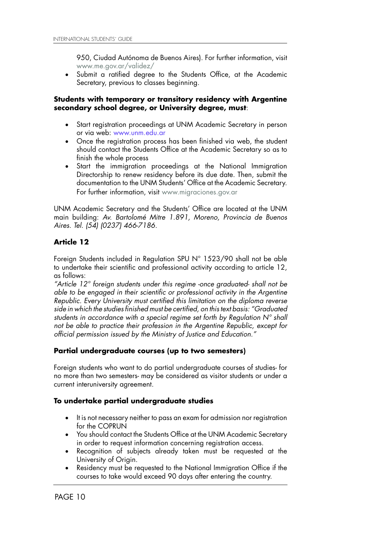950, Ciudad Autónoma de Buenos Aires). For further information, visit www.me.gov.ar/validez/

• Submit a ratified degree to the Students Office, at the Academic Secretary, previous to classes beginning.

#### **Students with temporary or transitory residency with Argentine secondary school degree, or University degree, must**:

- Start registration proceedings at UNM Academic Secretary in person or via web: www.unm.edu.ar
- Once the registration process has been finished via web, the student should contact the Students Office at the Academic Secretary so as to finish the whole process
- Start the immigration proceedings at the National Immigration Directorship to renew residency before its due date. Then, submit the documentation to the UNM Students' Office at the Academic Secretary. For further information, visit www.migraciones.gov.ar

UNM Academic Secretary and the Students' Office are located at the UNM main building: *Av. Bartolomé Mitre 1.891, Moreno, Provincia de Buenos Aires. Tel. (54) (0237) 466-7186.*

### **Article 12**

Foreign Students included in Regulation SPU N° 1523/90 shall not be able to undertake their scientific and professional activity according to article 12, as follows:

*"Article 12° foreign students under this regime -once graduated- shall not be able to be engaged in their scientific or professional activity in the Argentine Republic. Every University must certified this limitation on the diploma reverse side in which the studies finished must be certified, on this text basis: "Graduated students in accordance with a special regime set forth by Regulation N° shall not be able to practice their profession in the Argentine Republic, except for official permission issued by the Ministry of Justice and Education."*

### **Partial undergraduate courses (up to two semesters)**

Foreign students who want to do partial undergraduate courses of studies- for no more than two semesters- may be considered as visitor students or under a current interuniversity agreement.

### **To undertake partial undergraduate studies**

- It is not necessary neither to pass an exam for admission nor registration for the COPRUN
- You should contact the Students Office at the UNM Academic Secretary in order to request information concerning registration access.
- Recognition of subjects already taken must be requested at the University of Origin.
- Residency must be requested to the National Immigration Office if the courses to take would exceed 90 days after entering the country.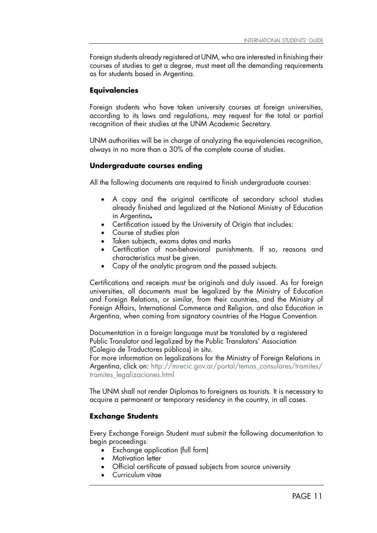Foreign students already registered at UNM, who are interested in finishing their courses of studies to get a degree, must meet all the demanding requirements as for students based in Argentina.

### **Equivalencies**

Foreign students who have taken university courses at foreign universities, according to its laws and regulations, may request for the total or partial recognition of their studies at the UNM Academic Secretary.

UNM authorities will be in charge of analyzing the equivalencies recognition, always in no more than a 30% of the complete course of studies.

### **Undergraduate courses ending**

All the following documents are required to finish undergraduate courses:

- A copy and the original certificate of secondary school studies already finished and legalized at the National Ministry of Education in Argentina**.**
- Certification issued by the University of Origin that includes:
- Course of studies plan
- Taken subjects, exams dates and marks
- Certification of non-behavioral punishments. If so, reasons and characteristics must be given.
- Copy of the analytic program and the passed subjects.

Certifications and receipts must be originals and duly issued. As for foreign universities, all documents must be legalized by the Ministry of Education and Foreign Relations, or similar, from their countries, and the Ministry of Foreign Affairs, International Commerce and Religion, and also Education in Argentina, when coming from signatory countries of the Hague Convention.

Documentation in a foreign language must be translated by a registered Public Translator and legalized by the Public Translators' Association (Colegio de Traductores públicos) in situ.

For more information on legalizations for the Ministry of Foreign Relations in Argentina, click on: http://mrecic.gov.ar/portal/temas\_consulares/tramites/ tramites\_legalizaciones.html

The UNM shall not render Diplomas to foreigners as tourists. It is necessary to acquire a permanent or temporary residency in the country, in all cases.

### **Exchange Students**

Every Exchange Foreign Student must submit the following documentation to begin proceedings:

- Exchange application (full form)
- Motivation letter
- Official certificate of passed subjects from source university
- Curriculum vitae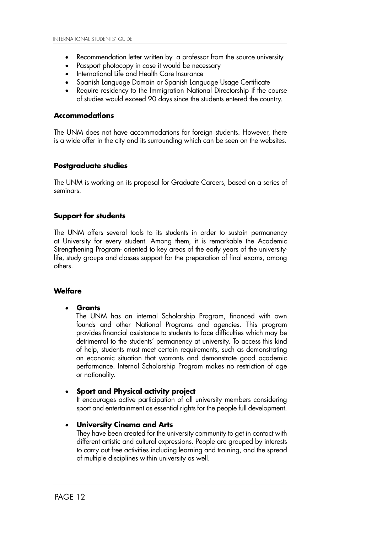- Recommendation letter written by a professor from the source university
- Passport photocopy in case it would be necessary
- International Life and Health Care Insurance
- Spanish Language Domain or Spanish Language Usage Certificate
- Require residency to the Immigration National Directorship if the course of studies would exceed 90 days since the students entered the country.

#### **Accommodations**

The UNM does not have accommodations for foreign students. However, there is a wide offer in the city and its surrounding which can be seen on the websites.

#### **Postgraduate studies**

The UNM is working on its proposal for Graduate Careers, based on a series of seminars.

### **Support for students**

The UNM offers several tools to its students in order to sustain permanency at University for every student. Among them, it is remarkable the Academic Strengthening Program- oriented to key areas of the early years of the universitylife, study groups and classes support for the preparation of final exams, among others.

#### **Welfare**

#### • **Grants**

The UNM has an internal Scholarship Program, financed with own founds and other National Programs and agencies. This program provides financial assistance to students to face difficulties which may be detrimental to the students' permanency at university. To access this kind of help, students must meet certain requirements, such as demonstrating an economic situation that warrants and demonstrate good academic performance. Internal Scholarship Program makes no restriction of age or nationality.

#### • **Sport and Physical activity project**

It encourages active participation of all university members considering sport and entertainment as essential rights for the people full development.

#### • **University Cinema and Arts**

They have been created for the university community to get in contact with different artistic and cultural expressions. People are grouped by interests to carry out free activities including learning and training, and the spread of multiple disciplines within university as well.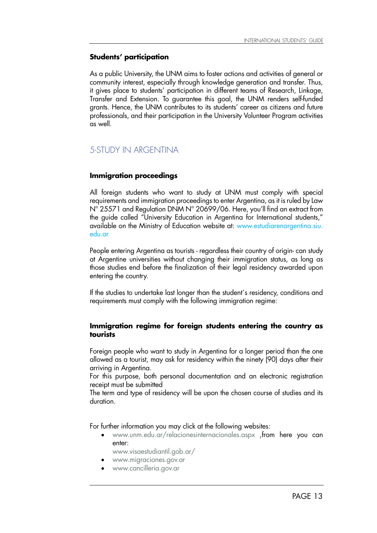### **Students' participation**

As a public University, the UNM aims to foster actions and activities of general or community interest, especially through knowledge generation and transfer. Thus, it gives place to students' participation in different teams of Research, Linkage, Transfer and Extension. To guarantee this goal, the UNM renders self-funded grants. Hence, the UNM contributes to its students' career as citizens and future professionals, and their participation in the University Volunteer Program activities as well.

### 5-STUDY IN ARGENTINA

### **Immigration proceedings**

All foreign students who want to study at UNM must comply with special requirements and immigration proceedings to enter Argentina, as it is ruled by Law N° 25571 and Regulation DNM N° 20699/06. Here, you'll find an extract from the guide called "University Education in Argentina for International students," available on the Ministry of Education website at: www.estudiarenargentina.siu. edu.ar

People entering Argentina as tourists - regardless their country of origin- can study at Argentine universities without changing their immigration status, as long as those studies end before the finalization of their legal residency awarded upon entering the country.

If the studies to undertake last longer than the student´s residency, conditions and requirements must comply with the following immigration regime:

### **Immigration regime for foreign students entering the country as tourists**

Foreign people who want to study in Argentina for a longer period than the one allowed as a tourist, may ask for residency within the ninety (90) days after their arriving in Argentina.

For this purpose, both personal documentation and an electronic registration receipt must be submitted

The term and type of residency will be upon the chosen course of studies and its duration.

For further information you may click at the following websites:

- www.unm.edu.ar/relacionesinternacionales.aspx ,from here you can enter:
	- www.visaestudiantil.gob.ar/
- www.migraciones.gov.ar
- www.cancilleria.gov.ar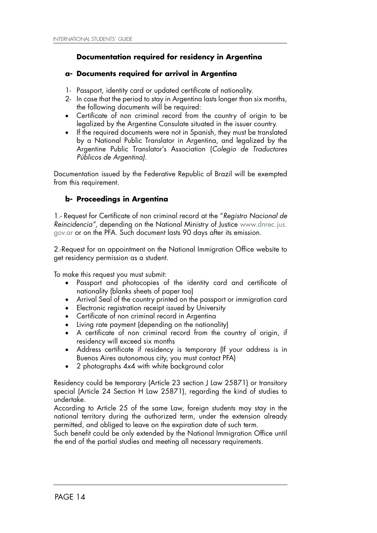### **Documentation required for residency in Argentina**

### **a- Documents required for arrival in Argentina**

- 1- Passport, identity card or updated certificate of nationality.
- 2- In case that the period to stay in Argentina lasts longer than six months, the following documents will be required:
- Certificate of non criminal record from the country of origin to be legalized by the Argentine Consulate situated in the issuer country.
- If the required documents were not in Spanish, they must be translated by a National Public Translator in Argentina, and legalized by the Argentine Public Translator's Association (*Colegio de Traductores Públicos de Argentina).*

Documentation issued by the Federative Republic of Brazil will be exempted from this requirement.

### **b- Proceedings in Argentina**

1.- Request for Certificate of non criminal record at the "*Registro Nacional de Reincidencia",* depending on the National Ministry of Justice www.dnrec.jus. gov.ar or on the PFA. Such document lasts 90 days after its emission.

2.-Request for an appointment on the National Immigration Office website to get residency permission as a student.

To make this request you must submit:

- Passport and photocopies of the identity card and certificate of nationality (blanks sheets of paper too)
- Arrival Seal of the country printed on the passport or immigration card
- Electronic registration receipt issued by University
- Certificate of non criminal record in Argentina
- Living rate payment (depending on the nationality)
- A certificate of non criminal record from the country of origin, if residency will exceed six months
- Address certificate if residency is temporary (If your address is in Buenos Aires autonomous city, you must contact PFA)
- 2 photographs 4x4 with white background color

Residency could be temporary (Article 23 section J Law 25871) or transitory special (Article 24 Section H Law 25871), regarding the kind of studies to undertake.

According to Article 25 of the same Law, foreign students may stay in the national territory during the authorized term, under the extension already permitted, and obliged to leave on the expiration date of such term.

Such benefit could be only extended by the National Immigration Office until the end of the partial studies and meeting all necessary requirements.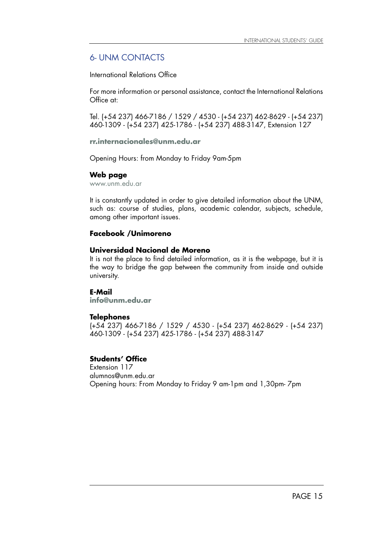### 6- UNM CONTACTS

International Relations Office

For more information or personal assistance, contact the International Relations Office at:

Tel. (+54 237) 466-7186 / 1529 / 4530 - (+54 237) 462-8629 - (+54 237) 460-1309 - (+54 237) 425-1786 - (+54 237) 488-3147, Extension 127

**rr.internacionales@unm.edu.ar**

Opening Hours: from Monday to Friday 9am-5pm

### **Web page**

www.unm.edu.ar

It is constantly updated in order to give detailed information about the UNM, such as: course of studies, plans, academic calendar, subjects, schedule, among other important issues.

### **Facebook /Unimoreno**

### **Universidad Nacional de Moreno**

It is not the place to find detailed information, as it is the webpage, but it is the way to bridge the gap between the community from inside and outside university.

### **E-Mail**

**info@unm.edu.ar**

### **Telephones**

(+54 237) 466-7186 / 1529 / 4530 - (+54 237) 462-8629 - (+54 237) 460-1309 - (+54 237) 425-1786 - (+54 237) 488-3147

### **Students' Office**

Extension 117 alumnos@unm.edu.ar Opening hours: From Monday to Friday 9 am-1pm and 1,30pm- 7pm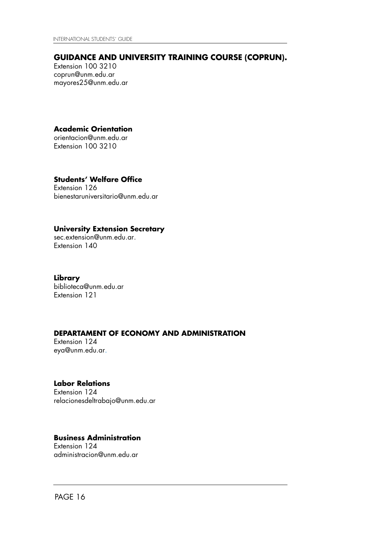### **GUIDANCE AND UNIVERSITY TRAINING COURSE (COPRUN).**

Extension 100 3210 coprun@unm.edu.ar mayores25@unm.edu.ar

### **Academic Orientation**

orientacion@unm.edu.ar Extension 100 3210

**Students' Welfare Office**

Extension 126 bienestaruniversitario@unm.edu.ar

### **University Extension Secretary**

sec.extension@unm.edu.ar. Extension 140

### **Library**

biblioteca@unm.edu.ar Extension 121

### **DEPARTAMENT OF ECONOMY AND ADMINISTRATION**

Extension 124 eya@unm.edu.ar.

### **Labor Relations**

Extension 124 relacionesdeltrabajo@unm.edu.ar

### **Business Administration**

Extension 124 administracion@unm.edu.ar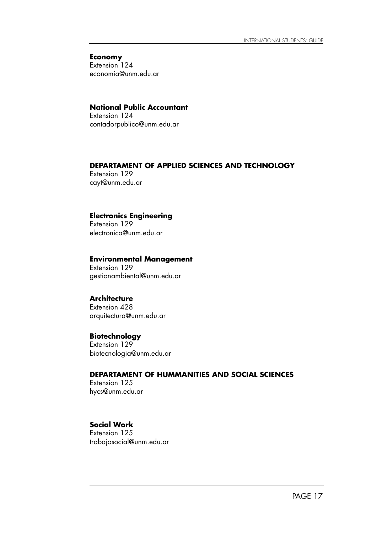**Economy** Extension 124 economia@unm.edu.ar

### **National Public Accountant**

Extension 124 contadorpublico@unm.edu.ar

### **DEPARTAMENT OF APPLIED SCIENCES AND TECHNOLOGY**

Extension 129 cayt@unm.edu.ar

### **Electronics Engineering**

Extension 129 electronica@unm.edu.ar

### **Environmental Management**

Extension 129 gestionambiental@unm.edu.ar

### **Architecture**

Extension 428 arquitectura@unm.edu.ar

### **Biotechnology**

Extension 129 biotecnologia@unm.edu.ar

### **DEPARTAMENT OF HUMMANITIES AND SOCIAL SCIENCES**

Extension 125 hycs@unm.edu.ar

### **Social Work**

Extension 125 trabajosocial@unm.edu.ar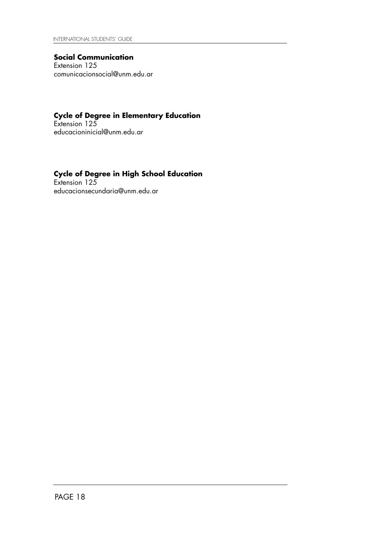INTERNATIONAL STUDENTS´ GUIDE

### **Social Communication**

Extension 125 comunicacionsocial@unm.edu.ar

### **Cycle of Degree in Elementary Education**

Extension 125 educacioninicial@unm.edu.ar

### **Cycle of Degree in High School Education**

Extension 125 educacionsecundaria@unm.edu.ar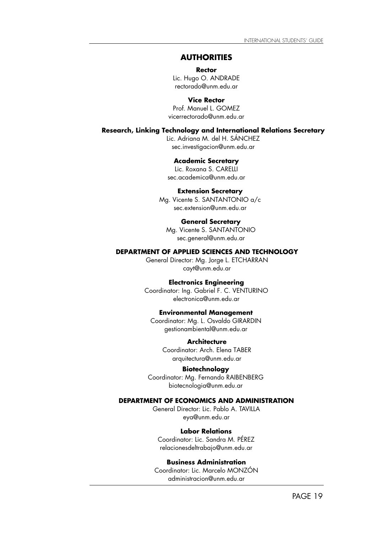### **AUTHORITIES**

#### **Rector**

Lic. Hugo O. ANDRADE rectorado@unm.edu.ar

#### **Vice Rector**

Prof. Manuel L. GOMEZ vicerrectorado@unm.edu.ar

#### **Research, Linking Technology and International Relations Secretary**

Lic. Adriana M. del H. SÁNCHEZ sec.investigacion@unm.edu.ar

#### **Academic Secretary**

Lic. Roxana S. CARELLI sec.academica@unm.edu.ar

#### **Extension Secretary**

Mg. Vicente S. SANTANTONIO a/c sec.extension@unm.edu.ar

#### **General Secretary**

Mg. Vicente S. SANTANTONIO sec.general@unm.edu.ar

#### **DEPARTMENT OF APPLIED SCIENCES AND TECHNOLOGY**

General Director: Mg. Jorge L. ETCHARRAN cayt@unm.edu.ar

#### **Electronics Engineering**

Coordinator: Ing. Gabriel F. C. VENTURINO electronica@unm.edu.ar

#### **Environmental Management**

Coordinator: Mg. L. Osvaldo GIRARDIN gestionambiental@unm.edu.ar

#### **Architecture**

Coordinator: Arch. Elena TABER arquitectura@unm.edu.ar

#### **Biotechnology**

Coordinator: Mg. Fernando RAIBENBERG biotecnologia@unm.edu.ar

### **DEPARTMENT OF ECONOMICS AND ADMINISTRATION**

General Director: Lic. Pablo A. TAVILLA eya@unm.edu.ar

#### **Labor Relations**

Coordinator: Lic. Sandra M. PÉREZ relacionesdeltrabajo@unm.edu.ar

#### **Business Administration**

Coordinator: Lic. Marcelo MONZÓN administracion@unm.edu.ar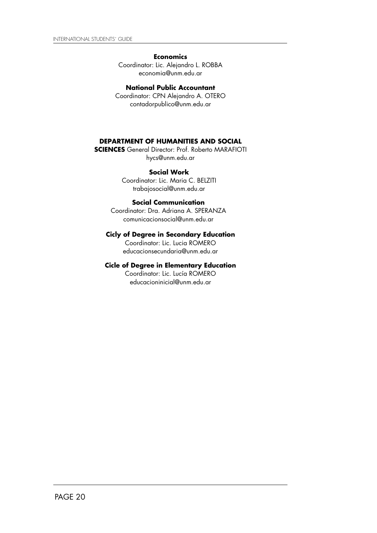#### **Economics**

Coordinator: Lic. Alejandro L. ROBBA economia@unm.edu.ar

#### **National Public Accountant**

Coordinator: CPN Alejandro A. OTERO contadorpublico@unm.edu.ar

#### **DEPARTMENT OF HUMANITIES AND SOCIAL**

**SCIENCES** General Director: Prof. Roberto MARAFIOTI hycs@unm.edu.ar

#### **Social Work**

Coordinator: Lic. Maria C. BELZITI trabajosocial@unm.edu.ar

#### **Social Communication**

Coordinator: Dra. Adriana A. SPERANZA comunicacionsocial@unm.edu.ar

#### **Cicly of Degree in Secondary Education**

Coordinator: Lic. Lucia ROMERO educacionsecundaria@unm.edu.ar

#### **Cicle of Degree in Elementary Education**

Coordinator: Lic. Lucía ROMERO educacioninicial@unm.edu.ar